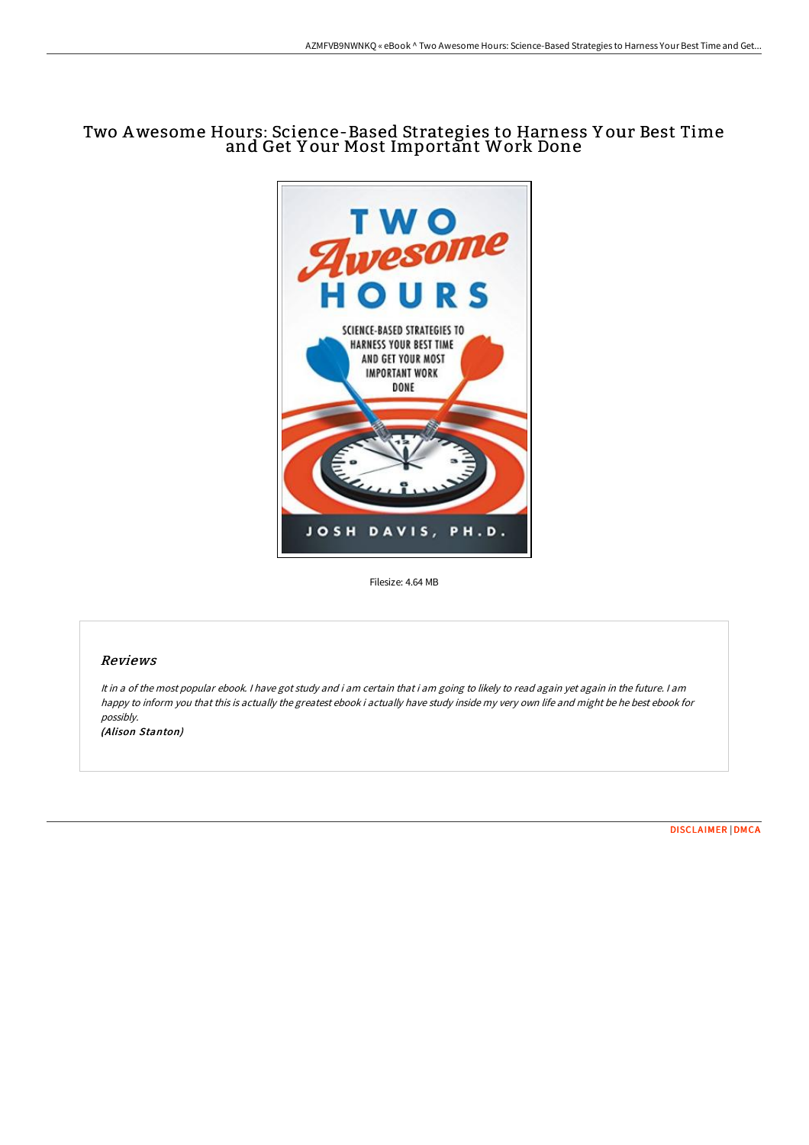## Two Awesome Hours: Science-Based Strategies to Harness Y our Best Time and Get Y our Most Important Work Done



Filesize: 4.64 MB

## Reviews

It in <sup>a</sup> of the most popular ebook. <sup>I</sup> have got study and i am certain that i am going to likely to read again yet again in the future. <sup>I</sup> am happy to inform you that this is actually the greatest ebook i actually have study inside my very own life and might be he best ebook for possibly. (Alison Stanton)

[DISCLAIMER](http://bookera.tech/disclaimer.html) | [DMCA](http://bookera.tech/dmca.html)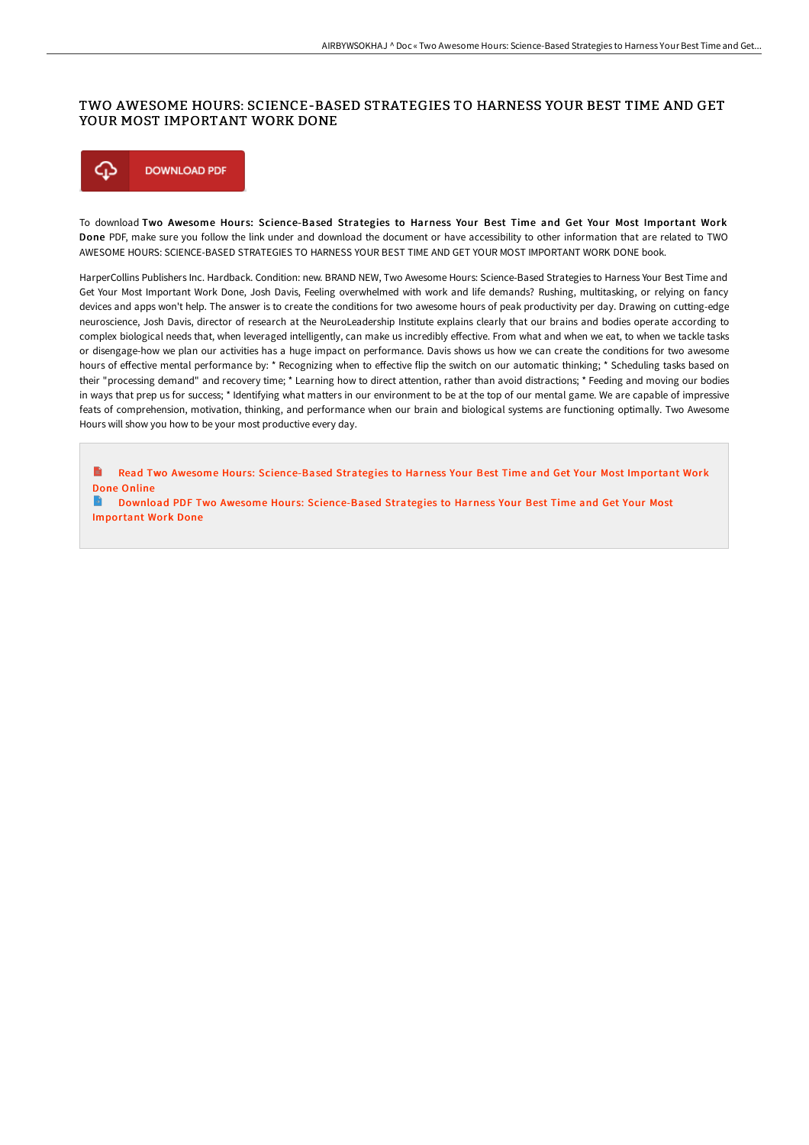## TWO AWESOME HOURS: SCIENCE-BASED STRATEGIES TO HARNESS YOUR BEST TIME AND GET YOUR MOST IMPORTANT WORK DONE



To download Two Awesome Hours: Science-Based Strategies to Harness Your Best Time and Get Your Most Important Work Done PDF, make sure you follow the link under and download the document or have accessibility to other information that are related to TWO AWESOME HOURS: SCIENCE-BASED STRATEGIES TO HARNESS YOUR BEST TIME AND GET YOUR MOST IMPORTANT WORK DONE book.

HarperCollins Publishers Inc. Hardback. Condition: new. BRAND NEW, Two Awesome Hours: Science-Based Strategies to Harness Your Best Time and Get Your Most Important Work Done, Josh Davis, Feeling overwhelmed with work and life demands? Rushing, multitasking, or relying on fancy devices and apps won't help. The answer is to create the conditions for two awesome hours of peak productivity per day. Drawing on cutting-edge neuroscience, Josh Davis, director of research at the NeuroLeadership Institute explains clearly that our brains and bodies operate according to complex biological needs that, when leveraged intelligently, can make us incredibly effective. From what and when we eat, to when we tackle tasks or disengage-how we plan our activities has a huge impact on performance. Davis shows us how we can create the conditions for two awesome hours of effective mental performance by: \* Recognizing when to effective flip the switch on our automatic thinking; \* Scheduling tasks based on their "processing demand" and recovery time; \* Learning how to direct attention, rather than avoid distractions; \* Feeding and moving our bodies in ways that prep us for success; \* Identifying what matters in our environment to be at the top of our mental game. We are capable of impressive feats of comprehension, motivation, thinking, and performance when our brain and biological systems are functioning optimally. Two Awesome Hours will show you how to be your most productive every day.

B Read Two Awesome Hours: [Science-Based](http://bookera.tech/two-awesome-hours-science-based-strategies-to-ha.html) Strategies to Harness Your Best Time and Get Your Most Important Work Done Online

B. Download PDF Two Awesome Hours: [Science-Based](http://bookera.tech/two-awesome-hours-science-based-strategies-to-ha.html) Strategies to Harness Your Best Time and Get Your Most Important Work Done